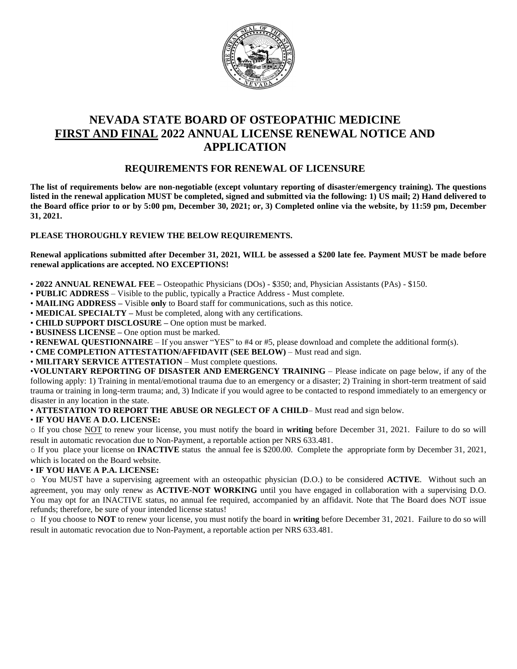

# **NEVADA STATE BOARD OF OSTEOPATHIC MEDICINE FIRST AND FINAL 2022 ANNUAL LICENSE RENEWAL NOTICE AND APPLICATION**

# **REQUIREMENTS FOR RENEWAL OF LICENSURE**

**The list of requirements below are non-negotiable (except voluntary reporting of disaster/emergency training). The questions listed in the renewal application MUST be completed, signed and submitted via the following: 1) US mail; 2) Hand delivered to the Board office prior to or by 5:00 pm, December 30, 2021; or, 3) Completed online via the website, by 11:59 pm, December 31, 2021.** 

# **PLEASE THOROUGHLY REVIEW THE BELOW REQUIREMENTS.**

**Renewal applications submitted after December 31, 2021, WILL be assessed a \$200 late fee. Payment MUST be made before renewal applications are accepted. NO EXCEPTIONS!** 

- **2022 ANNUAL RENEWAL FEE –** Osteopathic Physicians (DOs) \$350; and, Physician Assistants (PAs) \$150.
- **PUBLIC ADDRESS** Visible to the public, typically a Practice Address Must complete.
- **MAILING ADDRESS –** Visible **only** to Board staff for communications, such as this notice.
- **MEDICAL SPECIALTY** Must be completed, along with any certifications.
- **CHILD SUPPORT DISCLOSURE –** One option must be marked.
- **BUSINESS LICENSE –** One option must be marked.
- **RENEWAL QUESTIONNAIRE** If you answer "YES" to #4 or #5, please download and complete the additional form(s).
- **CME COMPLETION ATTESTATION/AFFIDAVIT (SEE BELOW)** Must read and sign.
- **MILITARY SERVICE ATTESTATION** Must complete questions.

•**VOLUNTARY REPORTING OF DISASTER AND EMERGENCY TRAINING** – Please indicate on page below, if any of the following apply: 1) Training in mental/emotional trauma due to an emergency or a disaster; 2) Training in short-term treatment of said trauma or training in long-term trauma; and, 3) Indicate if you would agree to be contacted to respond immediately to an emergency or disaster in any location in the state.

• **ATTESTATION TO REPORT THE ABUSE OR NEGLECT OF A CHILD**– Must read and sign below.

# • **IF YOU HAVE A D.O. LICENSE:**

o If you chose NOT to renew your license, you must notify the board in **writing** before December 31, 2021. Failure to do so will result in automatic revocation due to Non-Payment, a reportable action per NRS 633.481.

o If you place your license on **INACTIVE** status the annual fee is \$200.00. Complete the appropriate form by December 31, 2021, which is located on the Board website.

# • **IF YOU HAVE A P.A. LICENSE:**

o You MUST have a supervising agreement with an osteopathic physician (D.O.) to be considered **ACTIVE**. Without such an agreement, you may only renew as **ACTIVE-NOT WORKING** until you have engaged in collaboration with a supervising D.O. You may opt for an INACTIVE status, no annual fee required, accompanied by an affidavit. Note that The Board does NOT issue refunds; therefore, be sure of your intended license status!

o If you choose to **NOT** to renew your license, you must notify the board in **writing** before December 31, 2021. Failure to do so will result in automatic revocation due to Non-Payment, a reportable action per NRS 633.481.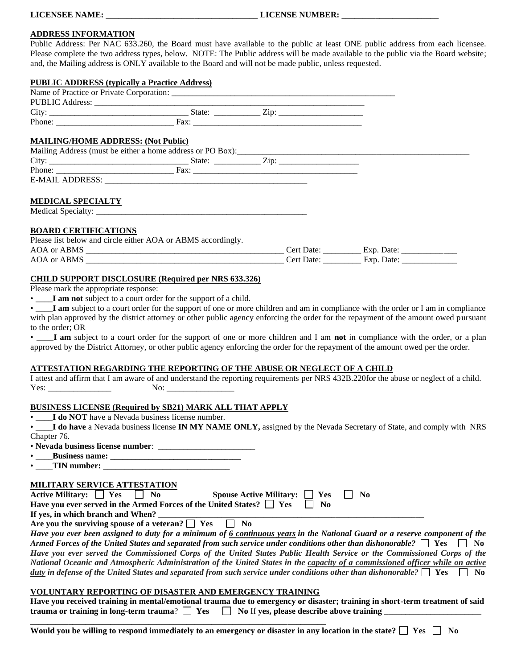#### **ADDRESS INFORMATION**

Public Address: Per NAC 633.260, the Board must have available to the public at least ONE public address from each licensee. Please complete the two address types, below. NOTE: The Public address will be made available to the public via the Board website; and, the Mailing address is ONLY available to the Board and will not be made public, unless requested.

#### **PUBLIC ADDRESS (typically a Practice Address)**

| <b>MAILING/HOME ADDRESS: (Not Public)</b> |                                                                                                                                                                                                                                        |  |
|-------------------------------------------|----------------------------------------------------------------------------------------------------------------------------------------------------------------------------------------------------------------------------------------|--|
|                                           | Mailing Address (must be either a home address or PO Box):<br><u>Les and the contract of the substantial of the substantial of the substantial of the substantial of the substantial of the substantial of the substantial of the </u> |  |
|                                           |                                                                                                                                                                                                                                        |  |
|                                           |                                                                                                                                                                                                                                        |  |
|                                           |                                                                                                                                                                                                                                        |  |
| <b>MEDICAL SPECIALTY</b>                  |                                                                                                                                                                                                                                        |  |
|                                           |                                                                                                                                                                                                                                        |  |
| <b>BOARD CERTIFICATIONS</b>               |                                                                                                                                                                                                                                        |  |
|                                           | Please list below and circle either AOA or ABMS accordingly.                                                                                                                                                                           |  |
|                                           |                                                                                                                                                                                                                                        |  |
|                                           |                                                                                                                                                                                                                                        |  |

### **CHILD SUPPORT DISCLOSURE (Required per NRS 633.326)**

I am not subject to a court order for the support of a child.

I am subject to a court order for the support of one or more children and am in compliance with the order or I am in compliance with plan approved by the district attorney or other public agency enforcing the order for the repayment of the amount owed pursuant to the order; OR

• \_\_\_\_**I am** subject to a court order for the support of one or more children and I am **not** in compliance with the order, or a plan approved by the District Attorney, or other public agency enforcing the order for the repayment of the amount owed per the order.

#### **ATTESTATION REGARDING THE REPORTING OF THE ABUSE OR NEGLECT OF A CHILD**

|      |     | I attest and affirm that I am aware of and understand the reporting requirements per NRS 432B.220for the abuse or neglect of a child. |
|------|-----|---------------------------------------------------------------------------------------------------------------------------------------|
| Yes: | No: |                                                                                                                                       |

#### **BUSINESS LICENSE (Required by SB21) MARK ALL THAT APPLY**

**I do NOT** have a Nevada business license number.

• \_\_\_\_**I do have** a Nevada business license **IN MY NAME ONLY,** assigned by the Nevada Secretary of State, and comply with NRS Chapter 76.

• **Nevada business license number**: \_\_\_\_\_\_\_\_\_\_\_\_\_\_\_\_\_\_\_\_\_\_\_

• \_\_\_\_**Business name: \_\_\_\_\_\_\_\_\_\_\_\_\_\_\_\_\_\_\_\_\_\_\_\_\_\_\_\_\_\_\_**

• TIN number:

#### **MILITARY SERVICE ATTESTATION**

| Active Military: $\Box$ Yes $\Box$ No |  | Spouse Active Military: $\Box$ Yes $\Box$ No                                        |  |
|---------------------------------------|--|-------------------------------------------------------------------------------------|--|
|                                       |  | Have you ever served in the Armed Forces of the United States? $\Box$ Yes $\Box$ No |  |

|  |  |  |  | Are you the surviving spouse of a veteran? $\Box$ Yes $\Box$ No |  |  |
|--|--|--|--|-----------------------------------------------------------------|--|--|

*Have you ever been assigned to duty for a minimum of 6 continuous years in the National Guard or a reserve component of the Armed Forces of the United States and separated from such service under conditions other than dishonorable?*  $\Box$  Yes  $\Box$  No *Have you ever served the Commissioned Corps of the United States Public Health Service or the Commissioned Corps of the National Oceanic and Atmospheric Administration of the United States in the capacity of a commissioned officer while on active duty* in defense of the United States and separated from such service under conditions other than dishonorable?  $\Box$  Yes  $\Box$  No

#### **VOLUNTARY REPORTING OF DISASTER AND EMERGENCY TRAINING**

**\_\_\_\_\_\_\_\_\_\_\_\_\_\_\_\_\_\_\_\_\_\_\_\_\_\_\_\_\_\_\_\_\_\_\_\_\_\_\_\_\_\_\_\_\_\_\_\_\_\_\_\_\_\_\_\_\_\_\_\_\_\_\_\_\_\_\_\_\_\_**

**Have you received training in mental/emotional trauma due to emergency or disaster; training in short-term treatment of said trauma or training in long-term trauma?**  $\Box$  **Yes**  $\Box$  **No If yes, please describe above training** 

Would you be willing to respond immediately to an emergency or disaster in any location in the state?  $\Box$  Yes  $\Box$  No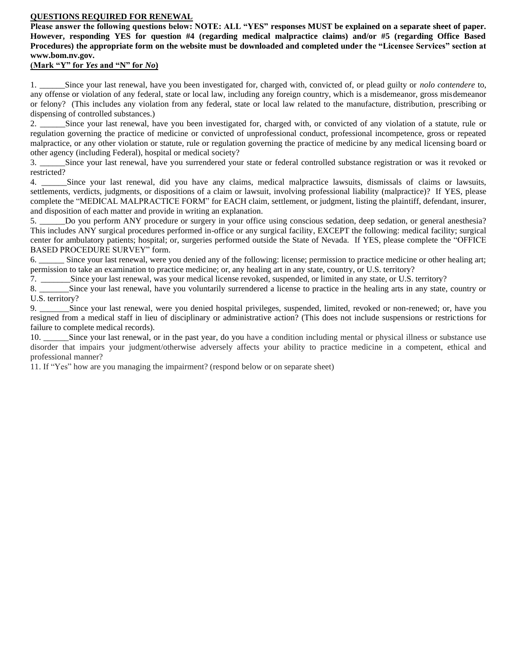### **QUESTIONS REQUIRED FOR RENEWAL**

**Please answer the following questions below: NOTE: ALL "YES" responses MUST be explained on a separate sheet of paper. However, responding YES for question #4 (regarding medical malpractice claims) and/or #5 (regarding Office Based Procedures) the appropriate form on the website must be downloaded and completed under the "Licensee Services" section at www.bom.nv.gov.**

## **(Mark "Y" for** *Yes* **and "N" for** *No***)**

1. \_\_\_\_\_\_Since your last renewal, have you been investigated for, charged with, convicted of, or plead guilty or *nolo contendere* to, any offense or violation of any federal, state or local law, including any foreign country, which is a misdemeanor, gross misdemeanor or felony? (This includes any violation from any federal, state or local law related to the manufacture, distribution, prescribing or dispensing of controlled substances.)

2. \_\_\_\_\_\_Since your last renewal, have you been investigated for, charged with, or convicted of any violation of a statute, rule or regulation governing the practice of medicine or convicted of unprofessional conduct, professional incompetence, gross or repeated malpractice, or any other violation or statute, rule or regulation governing the practice of medicine by any medical licensing board or other agency (including Federal), hospital or medical society?

3. \_\_\_\_\_\_Since your last renewal, have you surrendered your state or federal controlled substance registration or was it revoked or restricted?

4. \_\_\_\_\_\_Since your last renewal, did you have any claims, medical malpractice lawsuits, dismissals of claims or lawsuits, settlements, verdicts, judgments, or dispositions of a claim or lawsuit, involving professional liability (malpractice)? If YES, please complete the "MEDICAL MALPRACTICE FORM" for EACH claim, settlement, or judgment, listing the plaintiff, defendant, insurer, and disposition of each matter and provide in writing an explanation.

5. \_\_\_\_\_\_Do you perform ANY procedure or surgery in your office using conscious sedation, deep sedation, or general anesthesia? This includes ANY surgical procedures performed in-office or any surgical facility, EXCEPT the following: medical facility; surgical center for ambulatory patients; hospital; or, surgeries performed outside the State of Nevada. If YES, please complete the "OFFICE BASED PROCEDURE SURVEY" form.

6. \_\_\_\_\_\_ Since your last renewal, were you denied any of the following: license; permission to practice medicine or other healing art; permission to take an examination to practice medicine; or, any healing art in any state, country, or U.S. territory?

7. \_\_\_\_\_\_\_Since your last renewal, was your medical license revoked, suspended, or limited in any state, or U.S. territory?

8. \_\_\_\_\_\_\_Since your last renewal, have you voluntarily surrendered a license to practice in the healing arts in any state, country or U.S. territory?

9. Since your last renewal, were you denied hospital privileges, suspended, limited, revoked or non-renewed; or, have you resigned from a medical staff in lieu of disciplinary or administrative action? (This does not include suspensions or restrictions for failure to complete medical records).

10. Since your last renewal, or in the past year, do you have a condition including mental or physical illness or substance use disorder that impairs your judgment/otherwise adversely affects your ability to practice medicine in a competent, ethical and professional manner?

11. If "Yes" how are you managing the impairment? (respond below or on separate sheet)